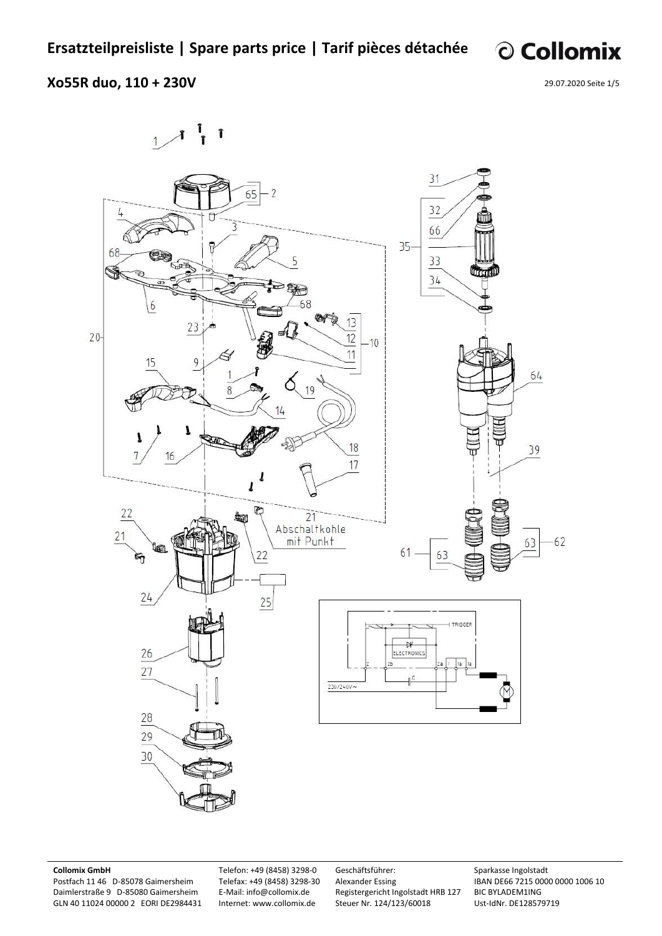© Collomix

### **Xo55R duo, 110 + 230V**

29.07.2020 Seite 1/5



#### **Collomix GmbH**

Postfach 11 46 D-85078 Gaimersheim Daimlerstraße 9 D-85080 Gaimersheim GLN 40 11024 00000 2 EORI DE2984431 Telefon: +49 (8458) 3298-0 Telefax: +49 (8458) 3298-30 E-Mail: info@collomix.de Internet: www.collomix.de

Geschäftsführer: Alexander Essing Registergericht Ingolstadt HRB 127 Steuer Nr. 124/123/60018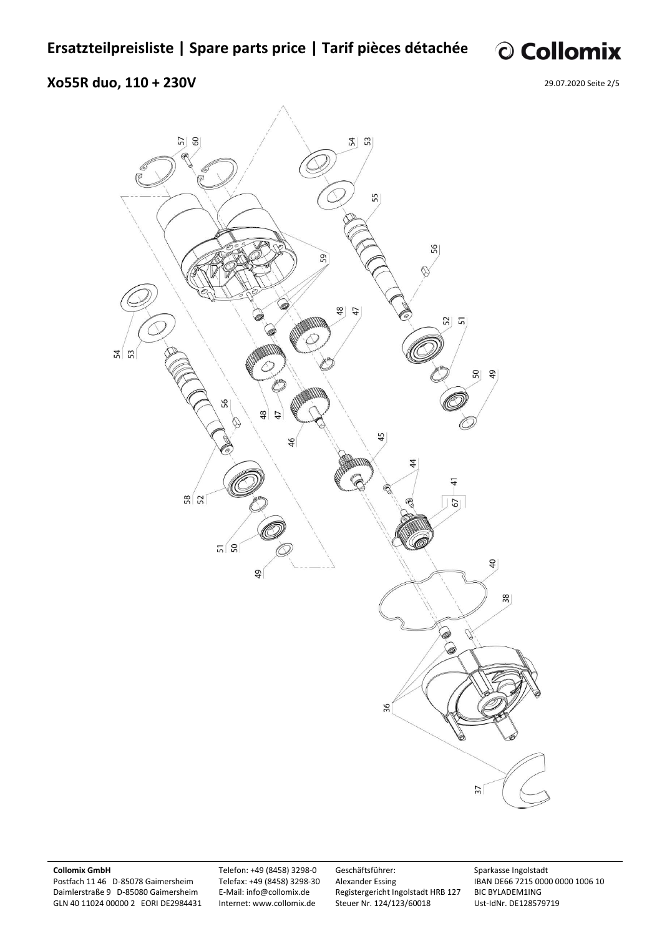© Collomix

### **Xo55R duo, 110 + 230V**

29.07.2020 Seite 2/5



#### **Collomix GmbH**

Postfach 11 46 D-85078 Gaimersheim Daimlerstraße 9 D-85080 Gaimersheim GLN 40 11024 00000 2 EORI DE2984431 Telefon: +49 (8458) 3298-0 Telefax: +49 (8458) 3298-30 E-Mail: info@collomix.de Internet: www.collomix.de

Geschäftsführer: Alexander Essing Registergericht Ingolstadt HRB 127 Steuer Nr. 124/123/60018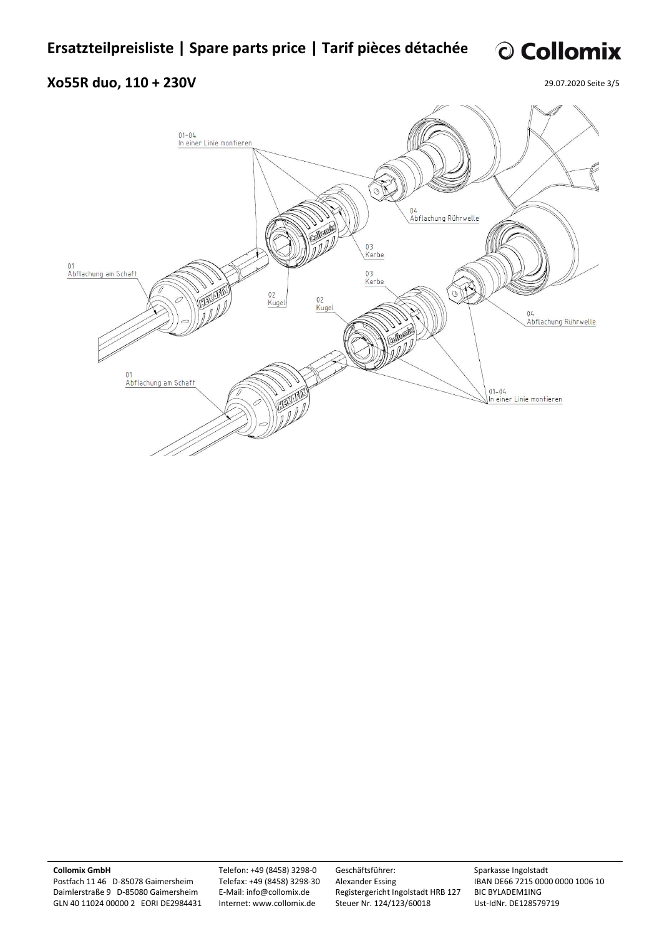# © Collomix

# **Xo55R duo, 110 + 230V**

29.07.2020 Seite 3/5



**Collomix GmbH** 

Postfach 11 46 D-85078 Gaimersheim Daimlerstraße 9 D-85080 Gaimersheim GLN 40 11024 00000 2 EORI DE2984431 Telefon: +49 (8458) 3298-0 Telefax: +49 (8458) 3298-30 E-Mail: info@collomix.de Internet: www.collomix.de

Geschäftsführer: Alexander Essing Registergericht Ingolstadt HRB 127 Steuer Nr. 124/123/60018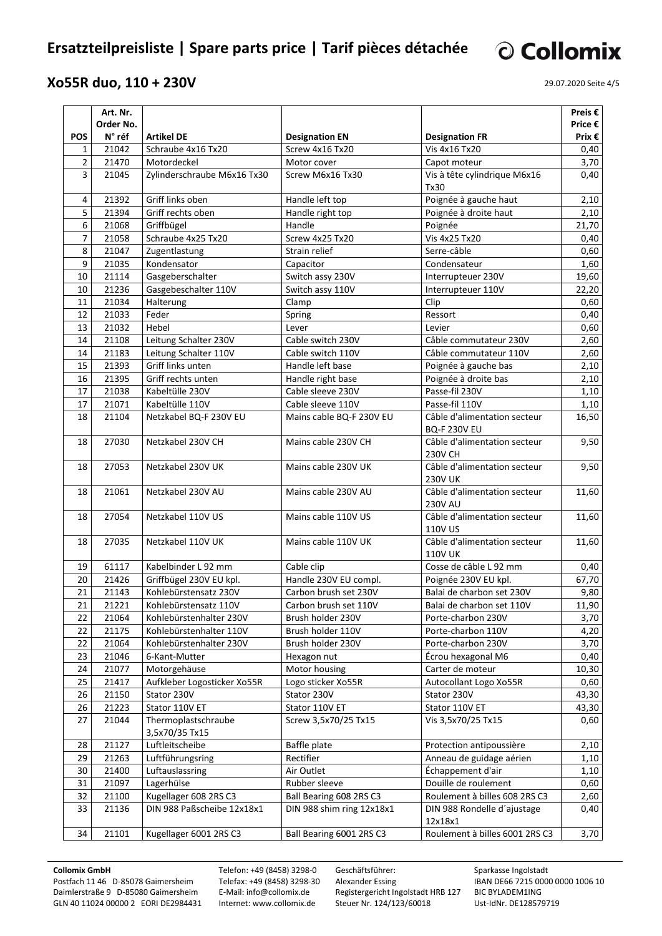# **Ersatzteilpreisliste | Spare parts price | Tarif pièces détachée**

### **Xo55R duo, 110 + 230V**

29.07.2020 Seite 4/5

© Collomix

|                | Art. Nr.  |                                       |                           |                                                     | Preis $\epsilon$ |
|----------------|-----------|---------------------------------------|---------------------------|-----------------------------------------------------|------------------|
|                | Order No. |                                       |                           |                                                     | Price €          |
| <b>POS</b>     | N° réf    | <b>Artikel DE</b>                     | <b>Designation EN</b>     | <b>Designation FR</b>                               | Prix $\epsilon$  |
| 1              | 21042     | Schraube 4x16 Tx20                    | Screw 4x16 Tx20           | Vis 4x16 Tx20                                       | 0,40             |
| $\overline{2}$ | 21470     | Motordeckel                           | Motor cover               | Capot moteur                                        | 3,70             |
| 3              | 21045     | Zylinderschraube M6x16 Tx30           | Screw M6x16 Tx30          | Vis à tête cylindrique M6x16                        | 0,40             |
|                |           |                                       |                           | Tx30                                                |                  |
| 4              | 21392     | Griff links oben                      | Handle left top           | Poignée à gauche haut                               | 2,10             |
| 5              | 21394     | Griff rechts oben                     | Handle right top          | Poignée à droite haut                               | 2,10             |
| 6              | 21068     | Griffbügel                            | Handle                    | Poignée                                             | 21,70            |
| $\overline{7}$ | 21058     | Schraube 4x25 Tx20                    | Screw 4x25 Tx20           | Vis 4x25 Tx20                                       | 0,40             |
| 8              | 21047     | Zugentlastung                         | Strain relief             | Serre-câble                                         | 0,60             |
| 9              | 21035     | Kondensator                           | Capacitor                 | Condensateur                                        | 1,60             |
| 10             | 21114     | Gasgeberschalter                      | Switch assy 230V          | Interrupteuer 230V                                  | 19,60            |
| 10             | 21236     | Gasgebeschalter 110V                  | Switch assy 110V          | Interrupteuer 110V                                  | 22,20            |
| 11             | 21034     | Halterung                             | Clamp                     | Clip                                                | 0,60             |
| 12             | 21033     | Feder                                 | Spring                    | Ressort                                             | 0,40             |
| 13             | 21032     | Hebel                                 | Lever                     | Levier                                              | 0,60             |
| 14             | 21108     | Leitung Schalter 230V                 | Cable switch 230V         | Câble commutateur 230V                              | 2,60             |
| 14             | 21183     | Leitung Schalter 110V                 | Cable switch 110V         | Câble commutateur 110V                              | 2,60             |
| 15             | 21393     | Griff links unten                     | Handle left base          | Poignée à gauche bas                                | 2,10             |
| 16             | 21395     | Griff rechts unten                    | Handle right base         | Poignée à droite bas                                | 2,10             |
| 17             | 21038     | Kabeltülle 230V                       | Cable sleeve 230V         | Passe-fil 230V                                      | 1,10             |
| 17             | 21071     | Kabeltülle 110V                       | Cable sleeve 110V         | Passe-fil 110V                                      | 1,10             |
| 18             | 21104     | Netzkabel BQ-F 230V EU                | Mains cable BQ-F 230V EU  | Câble d'alimentation secteur<br><b>BQ-F 230V EU</b> | 16,50            |
| 18             | 27030     | Netzkabel 230V CH                     | Mains cable 230V CH       | Câble d'alimentation secteur<br>230V CH             | 9,50             |
| 18             | 27053     | Netzkabel 230V UK                     | Mains cable 230V UK       | Câble d'alimentation secteur<br><b>230V UK</b>      | 9,50             |
| 18             | 21061     | Netzkabel 230V AU                     | Mains cable 230V AU       | Câble d'alimentation secteur<br><b>230V AU</b>      | 11,60            |
| 18             | 27054     | Netzkabel 110V US                     | Mains cable 110V US       | Câble d'alimentation secteur<br>110V US             | 11,60            |
| 18             | 27035     | Netzkabel 110V UK                     | Mains cable 110V UK       | Câble d'alimentation secteur<br><b>110V UK</b>      | 11,60            |
| 19             | 61117     | Kabelbinder L 92 mm                   | Cable clip                | Cosse de câble L 92 mm                              | 0,40             |
| 20             | 21426     | Griffbügel 230V EU kpl.               | Handle 230V EU compl.     | Poignée 230V EU kpl.                                | 67,70            |
| 21             | 21143     | Kohlebürstensatz 230V                 | Carbon brush set 230V     | Balai de charbon set 230V                           | 9,80             |
| 21             | 21221     | Kohlebürstensatz 110V                 | Carbon brush set 110V     | Balai de charbon set 110V                           | 11,90            |
| 22             | 21064     | Kohlebürstenhalter 230V               | Brush holder 230V         | Porte-charbon 230V                                  | 3,70             |
| 22             | 21175     | Kohlebürstenhalter 110V               | Brush holder 110V         | Porte-charbon 110V                                  | 4,20             |
| 22             | 21064     | Kohlebürstenhalter 230V               | Brush holder 230V         | Porte-charbon 230V                                  | 3,70             |
| 23             | 21046     | 6-Kant-Mutter                         | Hexagon nut               | Écrou hexagonal M6                                  | 0,40             |
| 24             | 21077     | Motorgehäuse                          | Motor housing             | Carter de moteur                                    | 10,30            |
| 25             | 21417     | Aufkleber Logosticker Xo55R           | Logo sticker Xo55R        | Autocollant Logo Xo55R                              | 0,60             |
| 26             | 21150     | Stator 230V                           | Stator 230V               | Stator 230V                                         | 43,30            |
| 26             | 21223     | Stator 110V ET                        | Stator 110V ET            | Stator 110V ET                                      | 43,30            |
| 27             | 21044     | Thermoplastschraube<br>3,5x70/35 Tx15 | Screw 3,5x70/25 Tx15      | Vis 3,5x70/25 Tx15                                  | 0,60             |
| 28             | 21127     | Luftleitscheibe                       | Baffle plate              | Protection antipoussière                            | 2,10             |
| 29             | 21263     | Luftführungsring                      | Rectifier                 | Anneau de guidage aérien                            | 1,10             |
| 30             | 21400     | Luftauslassring                       | Air Outlet                | Échappement d'air                                   | 1,10             |
| 31             | 21097     | Lagerhülse                            | Rubber sleeve             | Douille de roulement                                | 0,60             |
| 32             | 21100     | Kugellager 608 2RS C3                 | Ball Bearing 608 2RS C3   | Roulement à billes 608 2RS C3                       | 2,60             |
| 33             | 21136     | DIN 988 Paßscheibe 12x18x1            | DIN 988 shim ring 12x18x1 | DIN 988 Rondelle d'ajustage<br>12x18x1              | 0,40             |
| 34             | 21101     | Kugellager 6001 2RS C3                | Ball Bearing 6001 2RS C3  | Roulement à billes 6001 2RS C3                      | 3,70             |

#### **Collomix GmbH**

Postfach 11 46 D-85078 Gaimersheim Daimlerstraße 9 D-85080 Gaimersheim GLN 40 11024 00000 2 EORI DE2984431 Telefon: +49 (8458) 3298-0 Telefax: +49 (8458) 3298-30 E-Mail: info@collomix.de Internet: www.collomix.de

Geschäftsführer: Alexander Essing Registergericht Ingolstadt HRB 127 Steuer Nr. 124/123/60018